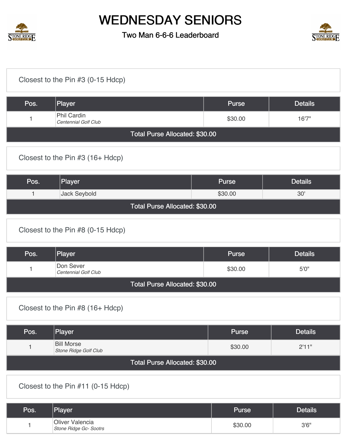

1

Oliver Valencia

## WEDNESDAY SENIORS

### Two Man 6-6-6 Leaderboard



| Closest to the Pin #3 (0-15 Hdcp)  |                                            |              |                |  |  |  |  |  |
|------------------------------------|--------------------------------------------|--------------|----------------|--|--|--|--|--|
| Pos.                               | Player                                     | <b>Purse</b> | <b>Details</b> |  |  |  |  |  |
| $\mathbf{1}$                       | <b>Phil Cardin</b><br>Centennial Golf Club | \$30.00      | 16'7"          |  |  |  |  |  |
|                                    | Total Purse Allocated: \$30.00             |              |                |  |  |  |  |  |
|                                    | Closest to the Pin #3 (16+ Hdcp)           |              |                |  |  |  |  |  |
| Pos.                               | Player                                     | <b>Purse</b> | <b>Details</b> |  |  |  |  |  |
| $\mathbf{1}$                       | Jack Seybold                               | \$30.00      | 30'            |  |  |  |  |  |
|                                    | Total Purse Allocated: \$30.00             |              |                |  |  |  |  |  |
|                                    | Closest to the Pin #8 (0-15 Hdcp)          |              |                |  |  |  |  |  |
| Pos.                               | Player                                     | <b>Purse</b> | <b>Details</b> |  |  |  |  |  |
| 1                                  | Don Sever<br>Centennial Golf Club          | \$30.00      | 5'0''          |  |  |  |  |  |
|                                    | Total Purse Allocated: \$30.00             |              |                |  |  |  |  |  |
| Closest to the Pin #8 (16+ Hdcp)   |                                            |              |                |  |  |  |  |  |
| Pos.                               | Player                                     | <b>Purse</b> | <b>Details</b> |  |  |  |  |  |
| $\mathbf{1}$                       | <b>Bill Morse</b><br>Stone Ridge Golf Club | \$30.00      | 2'11"          |  |  |  |  |  |
|                                    | Total Purse Allocated: \$30.00             |              |                |  |  |  |  |  |
| Closest to the Pin #11 (0-15 Hdcp) |                                            |              |                |  |  |  |  |  |
| Pos.                               | Player                                     | Purse        | <b>Details</b> |  |  |  |  |  |

**Stone Ridge Gc- Sootrs 3'6"**<br>Stone Ridge Gc- Sootrs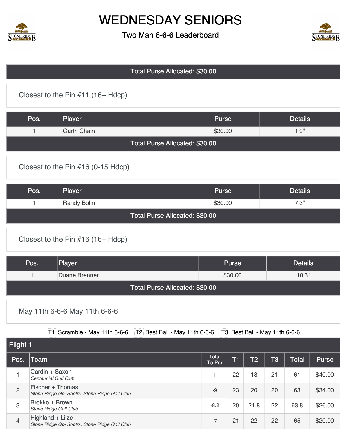

## WEDNESDAY SENIORS

#### Two Man 6-6-6 Leaderboard



#### Total Purse Allocated: \$30.00

[Closest to the Pin #11 \(16+ Hdcp\)](https://static.golfgenius.com/v2tournaments/8465456578114386610?called_from=&round_index=38)

| Pos.                           | Player      | Purse   | <b>Details</b> |  |  |  |
|--------------------------------|-------------|---------|----------------|--|--|--|
|                                | Garth Chain | \$30.00 | 1'9''          |  |  |  |
| Total Purse Allocated: \$30.00 |             |         |                |  |  |  |

#### [Closest to the Pin #16 \(0-15 Hdcp\)](https://static.golfgenius.com/v2tournaments/8465456915604863667?called_from=&round_index=38)

| Pos.                           | Player      | <b>Purse</b> | <b>Details</b> |  |  |  |  |
|--------------------------------|-------------|--------------|----------------|--|--|--|--|
|                                | Randy Bolin | \$30.00      | 7'3''          |  |  |  |  |
| Total Purse Allocated: \$30.00 |             |              |                |  |  |  |  |

### [Closest to the Pin #16 \(16+ Hdcp\)](https://static.golfgenius.com/v2tournaments/8465457356677872308?called_from=&round_index=38)

| Pos.                           | Player        | <b>Purse</b> | <b>Details</b> |  |  |  |  |
|--------------------------------|---------------|--------------|----------------|--|--|--|--|
|                                | Duane Brenner | \$30.00      | 10'3"          |  |  |  |  |
| Total Purse Allocated: \$30.00 |               |              |                |  |  |  |  |

#### [May 11th 6-6-6 May 11th 6-6-6](https://static.golfgenius.com/v2tournaments/8465420648498363052?called_from=&round_index=38)

T1 Scramble - May 11th 6-6-6  $|T2|$  Best Ball - May 11th 6-6-6  $|T3|$  Best Ball - May 11th 6-6-6

| Flight 1       |                                                                   |                        |               |                |                        |              |              |
|----------------|-------------------------------------------------------------------|------------------------|---------------|----------------|------------------------|--------------|--------------|
| Pos.           | Team                                                              | <b>Total</b><br>To Par | $\mathsf{T1}$ | T <sub>2</sub> | $\overline{\text{T3}}$ | <b>Total</b> | <b>Purse</b> |
|                | Cardin + Saxon<br>Centennial Golf Club                            | $-11$                  | 22            | 18             | 21                     | 61           | \$40.00      |
| $\overline{2}$ | Fischer + Thomas<br>Stone Ridge Gc- Sootrs, Stone Ridge Golf Club | $-9$                   | 23            | 20             | 20                     | 63           | \$34.00      |
| 3              | Brekke + Brown<br>Stone Ridge Golf Club                           | $-8.2$                 | 20            | 21.8           | 22                     | 63.8         | \$26.00      |
| 4              | Highland + Lilze<br>Stone Ridge Gc- Sootrs, Stone Ridge Golf Club | $-7$                   | 21            | 22             | 22                     | 65           | \$20.00      |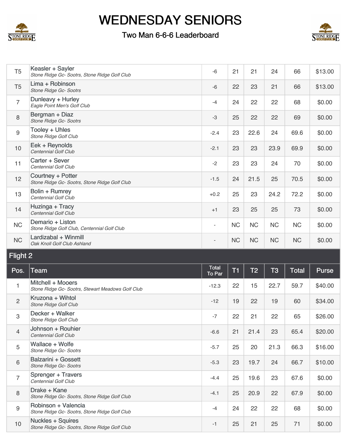

# WEDNESDAY SENIORS

### Two Man 6-6-6 Leaderboard



| T <sub>5</sub>   | Keasler + Sayler<br>Stone Ridge Gc- Sootrs, Stone Ridge Golf Club      | $-6$                   | 21        | 21             | 24             | 66           | \$13.00      |
|------------------|------------------------------------------------------------------------|------------------------|-----------|----------------|----------------|--------------|--------------|
| T <sub>5</sub>   | Lima + Robinson<br>Stone Ridge Gc- Sootrs                              | $-6$                   | 22        | 23             | 21             | 66           | \$13.00      |
| $\overline{7}$   | Dunleavy + Hurley<br>Eagle Point Men's Golf Club                       | $-4$                   | 24        | 22             | 22             | 68           | \$0.00       |
| $\,8\,$          | Bergman + Diaz<br>Stone Ridge Gc- Sootrs                               | $-3$                   | 25        | 22             | 22             | 69           | \$0.00       |
| $\boldsymbol{9}$ | Tooley + Uhles<br>Stone Ridge Golf Club                                | $-2.4$                 | 23        | 22.6           | 24             | 69.6         | \$0.00       |
| 10               | Eek + Reynolds<br>Centennial Golf Club                                 | $-2.1$                 | 23        | 23             | 23.9           | 69.9         | \$0.00       |
| 11               | Carter + Sever<br>Centennial Golf Club                                 | $-2$                   | 23        | 23             | 24             | 70           | \$0.00       |
| 12               | Courtney + Potter<br>Stone Ridge Gc- Sootrs, Stone Ridge Golf Club     | $-1.5$                 | 24        | 21.5           | 25             | 70.5         | \$0.00       |
| 13               | Bolin + Rumrey<br>Centennial Golf Club                                 | $+0.2$                 | 25        | 23             | 24.2           | 72.2         | \$0.00       |
| 14               | Huzinga + Tracy<br>Centennial Golf Club                                | $+1$                   | 23        | 25             | 25             | 73           | \$0.00       |
| <b>NC</b>        | Demario + Liston<br>Stone Ridge Golf Club, Centennial Golf Club        |                        | <b>NC</b> | <b>NC</b>      | <b>NC</b>      | <b>NC</b>    | \$0.00       |
| <b>NC</b>        | Lardizabal + Winmill<br>Oak Knoll Golf Club Ashland                    |                        | <b>NC</b> | <b>NC</b>      | <b>NC</b>      | <b>NC</b>    | \$0.00       |
|                  |                                                                        |                        |           |                |                |              |              |
| <b>Flight 2</b>  |                                                                        |                        |           |                |                |              |              |
| Pos.             | Team                                                                   | <b>Total</b><br>To Par | T1        | T <sub>2</sub> | T <sub>3</sub> | <b>Total</b> | <b>Purse</b> |
| $\mathbf{1}$     | Mitchell + Mooers<br>Stone Ridge Gc- Sootrs, Stewart Meadows Golf Club | $-12.3$                | 22        | 15             | 22.7           | 59.7         | \$40.00      |
| $\overline{2}$   | Kruzona + Wihtol<br>Stone Ridge Golf Club                              | $-12$                  | 19        | 22             | 19             | 60           | \$34.00      |
| 3                | Decker + Walker<br><b>Stone Ridge Golf Club</b>                        | $-7$                   | 22        | 21             | 22             | 65           | \$26.00      |
| $\overline{4}$   | Johnson + Rouhier<br>Centennial Golf Club                              | $-6.6$                 | 21        | 21.4           | 23             | 65.4         | \$20.00      |
| $\sqrt{5}$       | Wallace + Wolfe<br>Stone Ridge Gc- Sootrs                              | $-5.7$                 | 25        | 20             | 21.3           | 66.3         | \$16.00      |
| $6\,$            | <b>Balzarini + Gossett</b><br>Stone Ridge Gc- Sootrs                   | $-5.3$                 | 23        | 19.7           | 24             | 66.7         | \$10.00      |
| $\overline{7}$   | <b>Sprenger + Travers</b><br>Centennial Golf Club                      | $-4.4$                 | 25        | 19.6           | 23             | 67.6         | \$0.00       |
| 8                | Drake + Kane<br>Stone Ridge Gc- Sootrs, Stone Ridge Golf Club          | $-4.1$                 | 25        | 20.9           | 22             | 67.9         | \$0.00       |
| $9\,$            | Robinson + Valencia<br>Stone Ridge Gc- Sootrs, Stone Ridge Golf Club   | -4                     | 24        | 22             | 22             | 68           | \$0.00       |